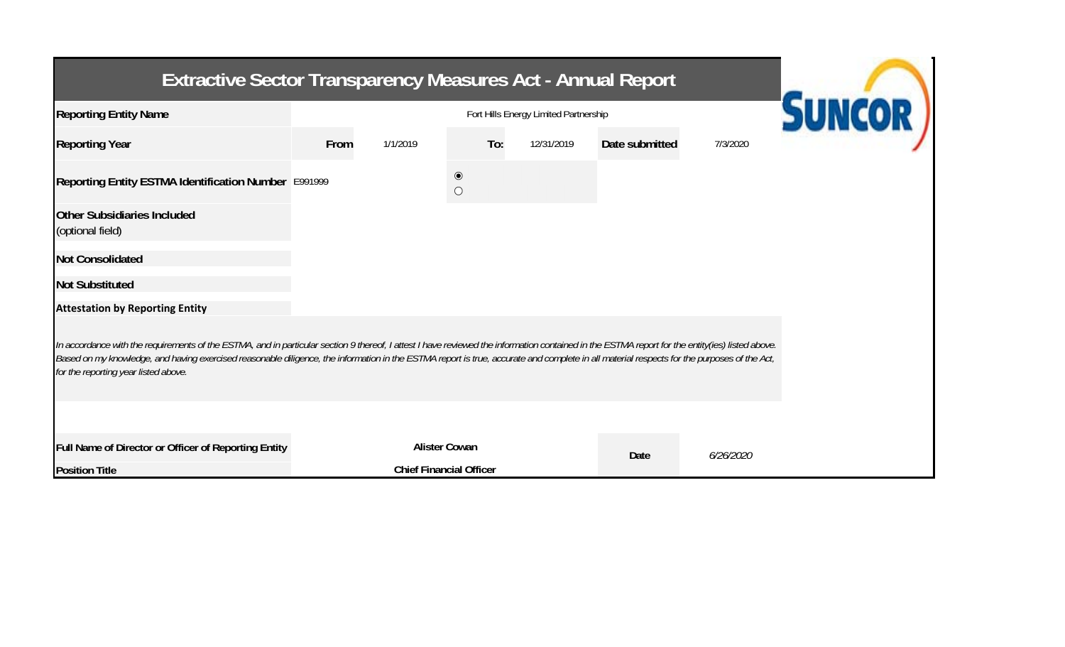| <b>Extractive Sector Transparency Measures Act - Annual Report</b>                                                                                                                                                                                                                                                                                                                                                                    |      |               |                                                  |            |                |           |  |  |  |  |
|---------------------------------------------------------------------------------------------------------------------------------------------------------------------------------------------------------------------------------------------------------------------------------------------------------------------------------------------------------------------------------------------------------------------------------------|------|---------------|--------------------------------------------------|------------|----------------|-----------|--|--|--|--|
| <b>Reporting Entity Name</b>                                                                                                                                                                                                                                                                                                                                                                                                          |      | <b>SUNCOR</b> |                                                  |            |                |           |  |  |  |  |
| <b>Reporting Year</b>                                                                                                                                                                                                                                                                                                                                                                                                                 | From | 1/1/2019      | To:                                              | 12/31/2019 | Date submitted | 7/3/2020  |  |  |  |  |
| Reporting Entity ESTMA Identification Number E991999                                                                                                                                                                                                                                                                                                                                                                                  |      |               | $\textcircled{\small{\textbf{0}}}$<br>$\bigcirc$ |            |                |           |  |  |  |  |
| <b>Other Subsidiaries Included</b><br>(optional field)                                                                                                                                                                                                                                                                                                                                                                                |      |               |                                                  |            |                |           |  |  |  |  |
| <b>Not Consolidated</b>                                                                                                                                                                                                                                                                                                                                                                                                               |      |               |                                                  |            |                |           |  |  |  |  |
| <b>Not Substituted</b>                                                                                                                                                                                                                                                                                                                                                                                                                |      |               |                                                  |            |                |           |  |  |  |  |
| <b>Attestation by Reporting Entity</b>                                                                                                                                                                                                                                                                                                                                                                                                |      |               |                                                  |            |                |           |  |  |  |  |
| In accordance with the requirements of the ESTMA, and in particular section 9 thereof, I attest I have reviewed the information contained in the ESTMA report for the entity(ies) listed above.<br>Based on my knowledge, and having exercised reasonable diligence, the information in the ESTMA report is true, accurate and complete in all material respects for the purposes of the Act,<br>for the reporting year listed above. |      |               |                                                  |            |                |           |  |  |  |  |
|                                                                                                                                                                                                                                                                                                                                                                                                                                       |      |               |                                                  |            |                |           |  |  |  |  |
| Full Name of Director or Officer of Reporting Entity                                                                                                                                                                                                                                                                                                                                                                                  |      |               | <b>Alister Cowan</b>                             |            | Date           | 6/26/2020 |  |  |  |  |
| <b>Position Title</b>                                                                                                                                                                                                                                                                                                                                                                                                                 |      |               | <b>Chief Financial Officer</b>                   |            |                |           |  |  |  |  |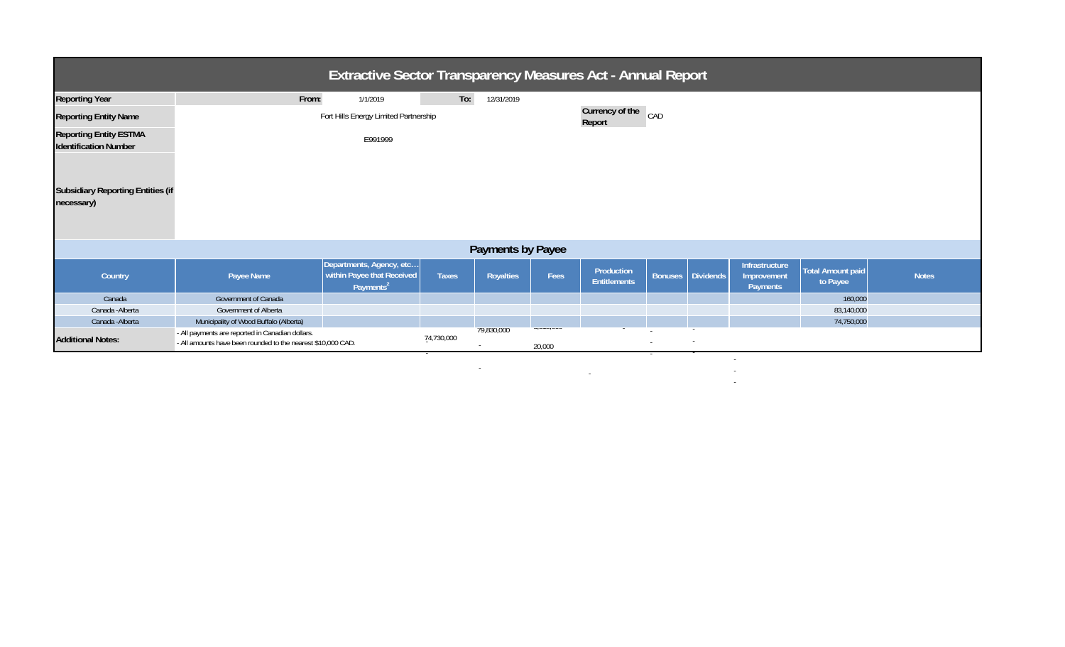| <b>Extractive Sector Transparency Measures Act - Annual Report</b> |                                                                                                                  |                                                                                  |                               |            |                      |                                   |        |                   |                                           |                                      |              |
|--------------------------------------------------------------------|------------------------------------------------------------------------------------------------------------------|----------------------------------------------------------------------------------|-------------------------------|------------|----------------------|-----------------------------------|--------|-------------------|-------------------------------------------|--------------------------------------|--------------|
| <b>Reporting Year</b>                                              | From:                                                                                                            | 1/1/2019                                                                         | To:                           | 12/31/2019 |                      |                                   |        |                   |                                           |                                      |              |
| <b>Reporting Entity Name</b>                                       | Fort Hills Energy Limited Partnership                                                                            |                                                                                  | Currency of the CAD<br>Report |            |                      |                                   |        |                   |                                           |                                      |              |
| <b>Reporting Entity ESTMA</b><br><b>Identification Number</b>      |                                                                                                                  | E991999                                                                          |                               |            |                      |                                   |        |                   |                                           |                                      |              |
| <b>Subsidiary Reporting Entities (if</b><br>necessary)             |                                                                                                                  |                                                                                  |                               |            |                      |                                   |        |                   |                                           |                                      |              |
| Payments by Payee                                                  |                                                                                                                  |                                                                                  |                               |            |                      |                                   |        |                   |                                           |                                      |              |
| Country                                                            | Payee Name                                                                                                       | Departments, Agency, etc<br>within Payee that Received<br>Payments <sup>21</sup> | <b>Taxes</b>                  | Royalties  | Fees                 | Production<br><b>Entitlements</b> |        | Bonuses Dividends | Infrastructure<br>Improvement<br>Payments | <b>Total Amount paid</b><br>to Payee | <b>Notes</b> |
| Canada                                                             | Government of Canada                                                                                             |                                                                                  |                               |            |                      |                                   |        |                   |                                           | 160,000                              |              |
| Canada - Alberta                                                   | Government of Alberta                                                                                            |                                                                                  |                               |            |                      |                                   |        |                   |                                           | 83,140,000                           |              |
| Canada - Alberta                                                   | Municipality of Wood Buffalo (Alberta)                                                                           |                                                                                  |                               |            |                      |                                   |        |                   |                                           | 74,750,000                           |              |
| <b>Additional Notes:</b>                                           | - All payments are reported in Canadian dollars.<br>- All amounts have been rounded to the nearest \$10,000 CAD. |                                                                                  | 74,730,000                    | 79,830,000 | 1010101000<br>20,000 |                                   | $\sim$ |                   |                                           |                                      |              |

in a complete the complete state of the complete state of the complete state of the complete state of the complete state of the complete state of the complete state of the complete state of the complete state of the comple

-